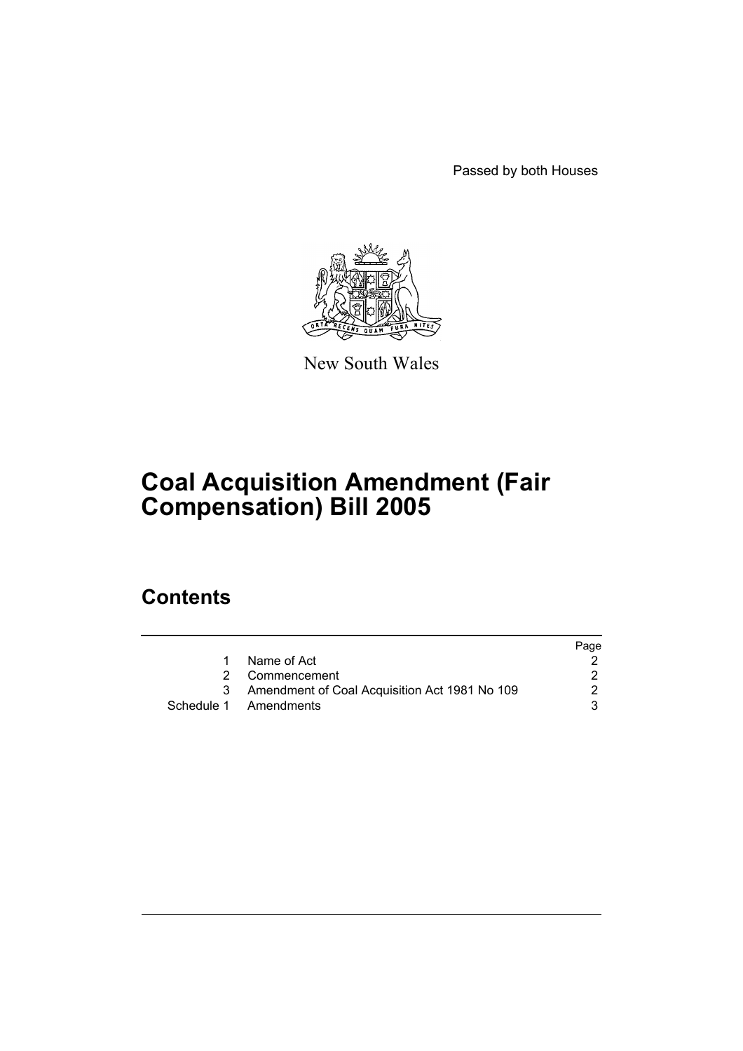Passed by both Houses



New South Wales

# **Coal Acquisition Amendment (Fair Compensation) Bill 2005**

# **Contents**

|   |                                               | Page |
|---|-----------------------------------------------|------|
|   | Name of Act                                   |      |
|   | 2 Commencement                                |      |
| 3 | Amendment of Coal Acquisition Act 1981 No 109 | 2.   |
|   | Schedule 1 Amendments                         |      |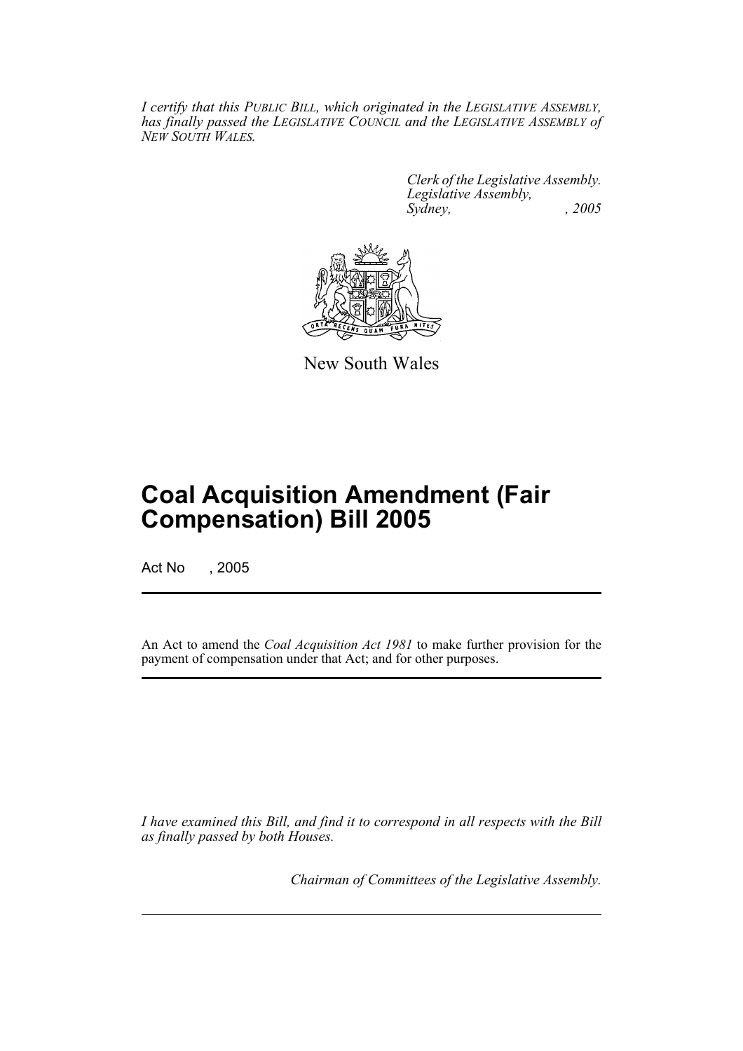*I certify that this PUBLIC BILL, which originated in the LEGISLATIVE ASSEMBLY, has finally passed the LEGISLATIVE COUNCIL and the LEGISLATIVE ASSEMBLY of NEW SOUTH WALES.*

> *Clerk of the Legislative Assembly. Legislative Assembly, Sydney, , 2005*



New South Wales

# **Coal Acquisition Amendment (Fair Compensation) Bill 2005**

Act No , 2005

An Act to amend the *Coal Acquisition Act 1981* to make further provision for the payment of compensation under that Act; and for other purposes.

*I have examined this Bill, and find it to correspond in all respects with the Bill as finally passed by both Houses.*

*Chairman of Committees of the Legislative Assembly.*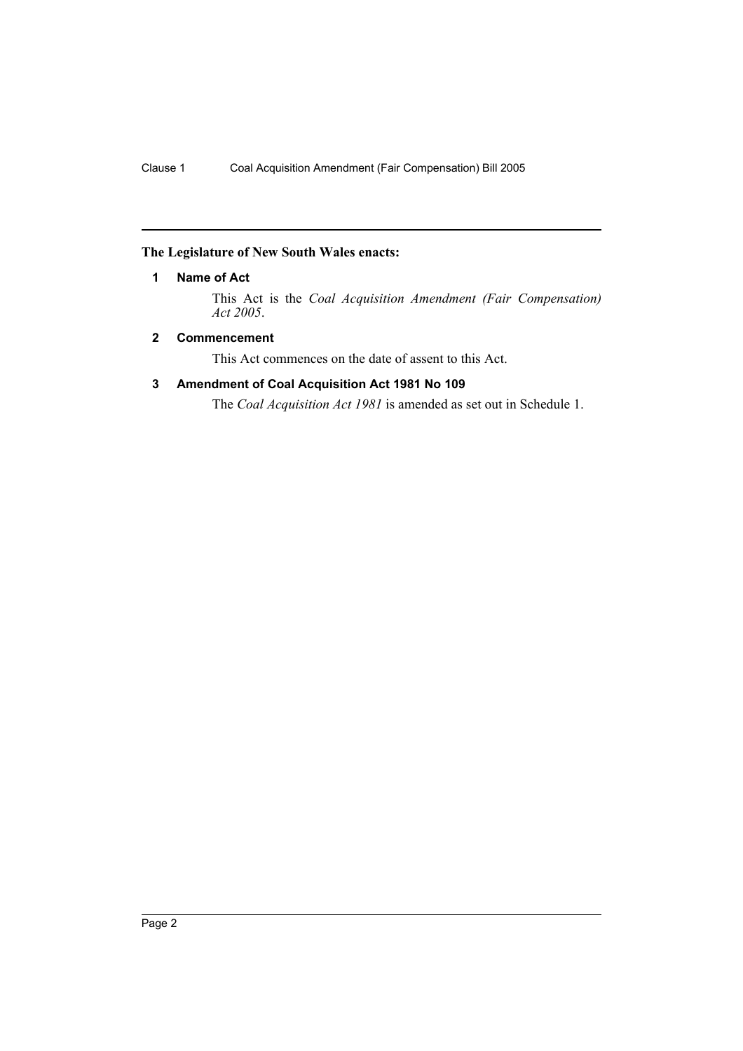## **The Legislature of New South Wales enacts:**

## **1 Name of Act**

This Act is the *Coal Acquisition Amendment (Fair Compensation) Act 2005*.

# **2 Commencement**

This Act commences on the date of assent to this Act.

# **3 Amendment of Coal Acquisition Act 1981 No 109**

The *Coal Acquisition Act 1981* is amended as set out in Schedule 1.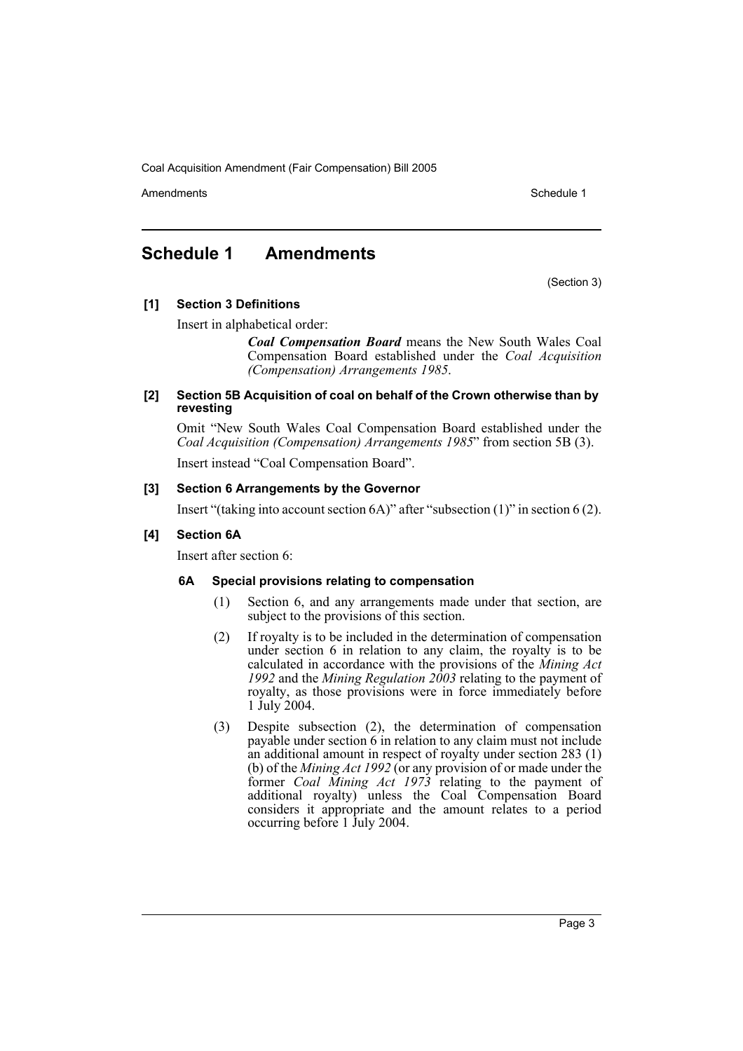Coal Acquisition Amendment (Fair Compensation) Bill 2005

Amendments **Schedule 1** and the set of the set of the set of the set of the set of the set of the set of the set of the set of the set of the set of the set of the set of the set of the set of the set of the set of the set

# **Schedule 1 Amendments**

(Section 3)

**[1] Section 3 Definitions**

Insert in alphabetical order:

*Coal Compensation Board* means the New South Wales Coal Compensation Board established under the *Coal Acquisition (Compensation) Arrangements 1985*.

#### **[2] Section 5B Acquisition of coal on behalf of the Crown otherwise than by revesting**

Omit "New South Wales Coal Compensation Board established under the *Coal Acquisition (Compensation) Arrangements 1985*" from section 5B (3).

Insert instead "Coal Compensation Board".

### **[3] Section 6 Arrangements by the Governor**

Insert "(taking into account section 6A)" after "subsection (1)" in section 6 (2).

### **[4] Section 6A**

Insert after section 6:

### **6A Special provisions relating to compensation**

- (1) Section 6, and any arrangements made under that section, are subject to the provisions of this section.
- (2) If royalty is to be included in the determination of compensation under section 6 in relation to any claim, the royalty is to be calculated in accordance with the provisions of the *Mining Act 1992* and the *Mining Regulation 2003* relating to the payment of royalty, as those provisions were in force immediately before 1 July 2004.
- (3) Despite subsection (2), the determination of compensation payable under section 6 in relation to any claim must not include an additional amount in respect of royalty under section 283 (1) (b) of the *Mining Act 1992* (or any provision of or made under the former *Coal Mining Act 1973* relating to the payment of additional royalty) unless the Coal Compensation Board considers it appropriate and the amount relates to a period occurring before 1 July 2004.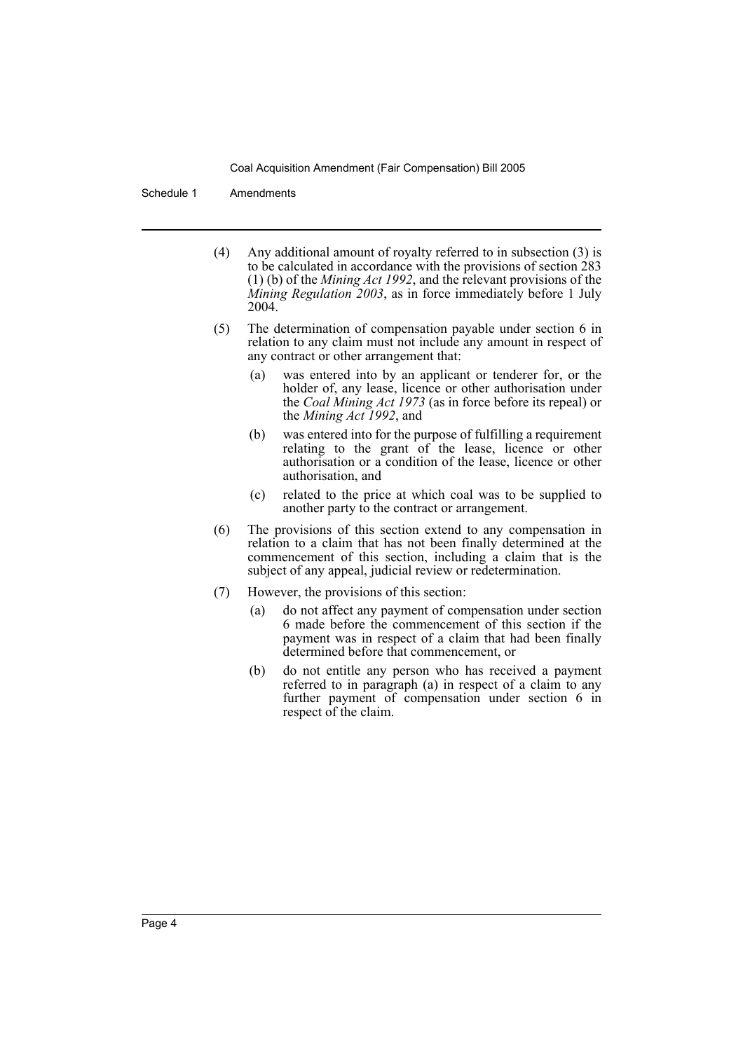Coal Acquisition Amendment (Fair Compensation) Bill 2005

Schedule 1 Amendments

- (4) Any additional amount of royalty referred to in subsection (3) is to be calculated in accordance with the provisions of section 283 (1) (b) of the *Mining Act 1992*, and the relevant provisions of the *Mining Regulation 2003*, as in force immediately before 1 July 2004.
- (5) The determination of compensation payable under section 6 in relation to any claim must not include any amount in respect of any contract or other arrangement that:
	- (a) was entered into by an applicant or tenderer for, or the holder of, any lease, licence or other authorisation under the *Coal Mining Act 1973* (as in force before its repeal) or the *Mining Act 1992*, and
	- (b) was entered into for the purpose of fulfilling a requirement relating to the grant of the lease, licence or other authorisation or a condition of the lease, licence or other authorisation, and
	- (c) related to the price at which coal was to be supplied to another party to the contract or arrangement.
- (6) The provisions of this section extend to any compensation in relation to a claim that has not been finally determined at the commencement of this section, including a claim that is the subject of any appeal, judicial review or redetermination.
- (7) However, the provisions of this section:
	- (a) do not affect any payment of compensation under section 6 made before the commencement of this section if the payment was in respect of a claim that had been finally determined before that commencement, or
	- (b) do not entitle any person who has received a payment referred to in paragraph (a) in respect of a claim to any further payment of compensation under section 6 in respect of the claim.